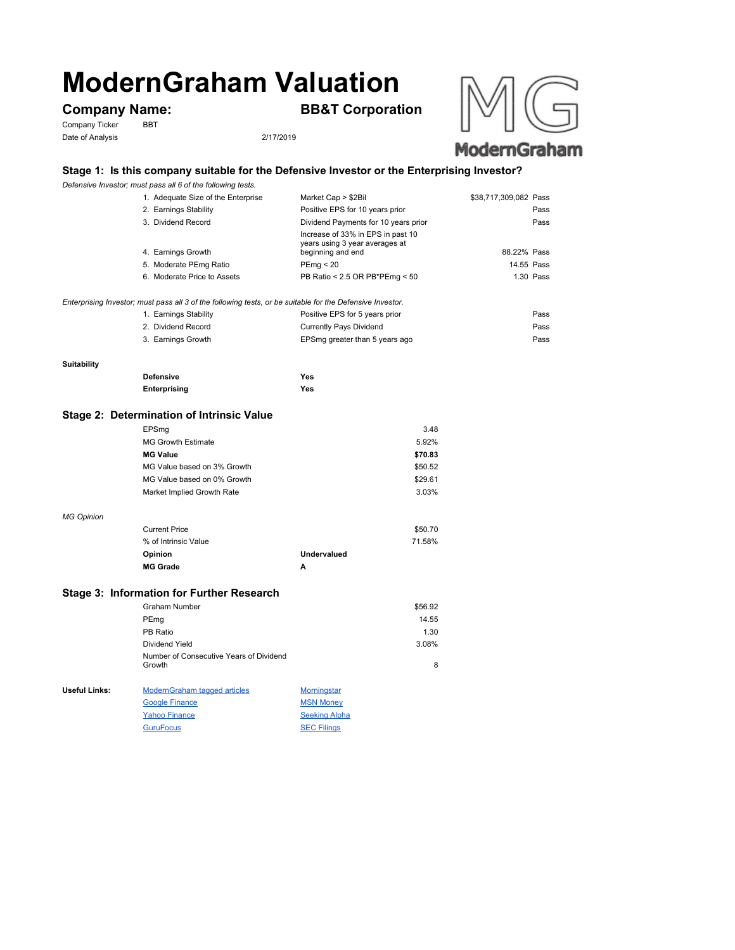# **ModernGraham Valuation**

Company Ticker BBT Date of Analysis 2/17/2019

**Company Name: BB&T Corporation**





## **ModernGraham**

#### **Stage 1: Is this company suitable for the Defensive Investor or the Enterprising Investor?**

*Defensive Investor; must pass all 6 of the following tests.*

| 1. Adequate Size of the Enterprise                                                                        | Market Cap > \$2Bil                                                                      | \$38,717,309,082 Pass |  |
|-----------------------------------------------------------------------------------------------------------|------------------------------------------------------------------------------------------|-----------------------|--|
| 2. Earnings Stability                                                                                     | Positive EPS for 10 years prior                                                          | Pass                  |  |
| 3. Dividend Record                                                                                        | Dividend Payments for 10 years prior                                                     | Pass                  |  |
| 4. Earnings Growth                                                                                        | Increase of 33% in EPS in past 10<br>years using 3 year averages at<br>beginning and end | 88.22% Pass           |  |
| 5. Moderate PEmg Ratio                                                                                    | PEmq < 20                                                                                | 14.55 Pass            |  |
| 6. Moderate Price to Assets                                                                               | PB Ratio < 2.5 OR PB*PEmg < 50                                                           | 1.30 Pass             |  |
| Enterprising Investor; must pass all 3 of the following tests, or be suitable for the Defensive Investor. |                                                                                          |                       |  |
| 1. Earnings Stability                                                                                     | Positive EPS for 5 years prior                                                           | Pass                  |  |
| 2. Dividend Record                                                                                        | <b>Currently Pays Dividend</b>                                                           | Pass                  |  |
| 3. Earnings Growth                                                                                        | EPSmg greater than 5 years ago                                                           | Pass                  |  |

#### **Suitability**

*MG Opinion*

| <b>Defensive</b> | Yes |
|------------------|-----|
| Enterprising     | Yes |

#### **Stage 2: Determination of Intrinsic Value**

| EPSmg                       | 3.48    |
|-----------------------------|---------|
| <b>MG Growth Estimate</b>   | 5.92%   |
| <b>MG Value</b>             | \$70.83 |
| MG Value based on 3% Growth | \$50.52 |
| MG Value based on 0% Growth | \$29.61 |
| Market Implied Growth Rate  | 3.03%   |
|                             |         |
| <b>Current Price</b>        | \$50.70 |

| % of Intrinsic Value |             | 71.58% |
|----------------------|-------------|--------|
| <b>Opinion</b>       | Undervalued |        |
| <b>MG Grade</b>      | А           |        |

#### **Stage 3: Information for Further Research**

|               | Graham Number                                             |                          | \$56.92 |
|---------------|-----------------------------------------------------------|--------------------------|---------|
|               | PEmg                                                      |                          | 14.55   |
|               | PB Ratio                                                  |                          | 1.30    |
|               | Dividend Yield                                            |                          | 3.08%   |
|               | Number of Consecutive Years of Dividend<br>Growth         |                          | 8       |
| Useful Links: | <b>ModernGraham tagged articles</b>                       | <b>Morningstar</b>       |         |
|               | <b>Google Finance</b>                                     | <b>MSN Money</b>         |         |
|               | $\mathbf{v}$ , and $\mathbf{v}$ are a set of $\mathbf{v}$ | $\sim$ $\cdots$ $\cdots$ |         |

| <b>Yahoo Finance</b> | <b>Seeking Alpha</b> |
|----------------------|----------------------|
| <b>GuruFocus</b>     | <b>SEC Filings</b>   |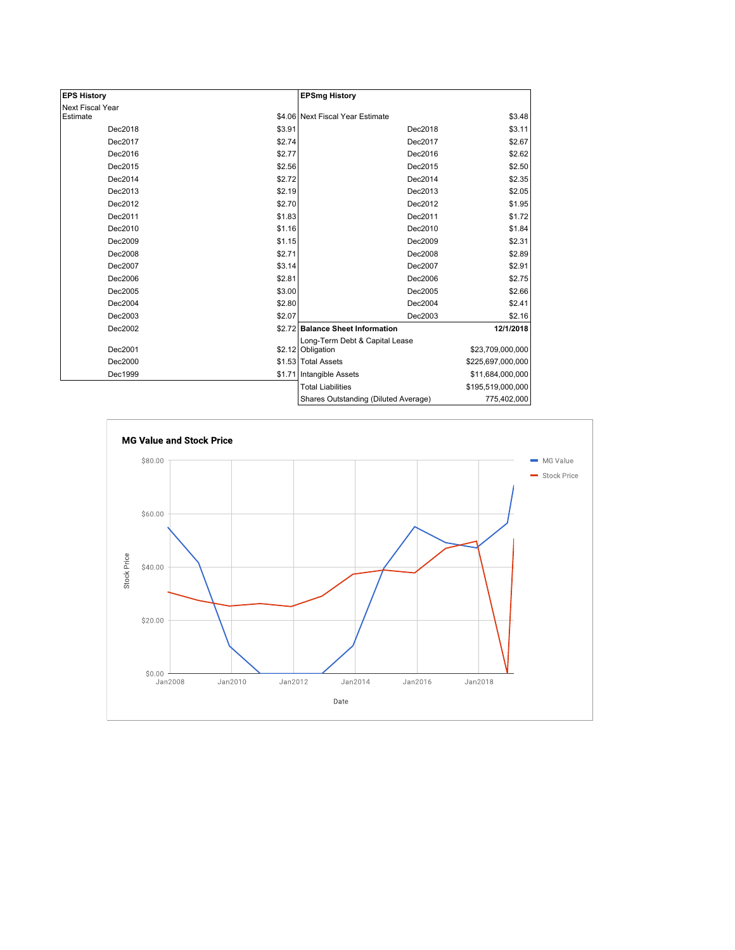| <b>EPS History</b> |        | <b>EPSmg History</b>                 |                   |
|--------------------|--------|--------------------------------------|-------------------|
| Next Fiscal Year   |        |                                      |                   |
| Estimate           |        | \$4.06 Next Fiscal Year Estimate     | \$3.48            |
| Dec2018            | \$3.91 | Dec2018                              | \$3.11            |
| Dec2017            | \$2.74 | Dec2017                              | \$2.67            |
| Dec2016            | \$2.77 | Dec2016                              | \$2.62            |
| Dec2015            | \$2.56 | Dec2015                              | \$2.50            |
| Dec2014            | \$2.72 | Dec2014                              | \$2.35            |
| Dec2013            | \$2.19 | Dec2013                              | \$2.05            |
| Dec2012            | \$2.70 | Dec2012                              | \$1.95            |
| Dec2011            | \$1.83 | Dec2011                              | \$1.72            |
| Dec2010            | \$1.16 | Dec2010                              | \$1.84            |
| Dec2009            | \$1.15 | Dec2009                              | \$2.31            |
| Dec2008            | \$2.71 | Dec2008                              | \$2.89            |
| Dec2007            | \$3.14 | Dec2007                              | \$2.91            |
| Dec2006            | \$2.81 | Dec2006                              | \$2.75            |
| Dec2005            | \$3.00 | Dec2005                              | \$2.66            |
| Dec2004            | \$2.80 | Dec2004                              | \$2.41            |
| Dec2003            | \$2.07 | Dec2003                              | \$2.16            |
| Dec2002            |        | \$2.72 Balance Sheet Information     | 12/1/2018         |
|                    |        | Long-Term Debt & Capital Lease       |                   |
| Dec2001            |        | \$2.12 Obligation                    | \$23,709,000,000  |
| Dec2000            |        | \$1.53 Total Assets                  | \$225,697,000,000 |
| Dec1999            | \$1.71 | Intangible Assets                    | \$11,684,000,000  |
|                    |        | <b>Total Liabilities</b>             | \$195,519,000,000 |
|                    |        | Shares Outstanding (Diluted Average) | 775,402,000       |